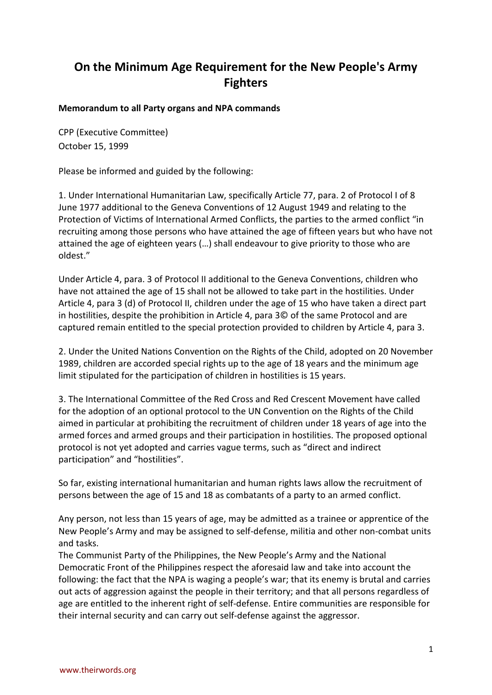## **On the Minimum Age Requirement for the New People's Army Fighters**

## **Memorandum to all Party organs and NPA commands**

CPP (Executive Committee) October 15, 1999

Please be informed and guided by the following:

1. Under International Humanitarian Law, specifically Article 77, para. 2 of Protocol I of 8 June 1977 additional to the Geneva Conventions of 12 August 1949 and relating to the Protection of Victims of International Armed Conflicts, the parties to the armed conflict "in recruiting among those persons who have attained the age of fifteen years but who have not attained the age of eighteen years (…) shall endeavour to give priority to those who are oldest."

Under Article 4, para. 3 of Protocol II additional to the Geneva Conventions, children who have not attained the age of 15 shall not be allowed to take part in the hostilities. Under Article 4, para 3 (d) of Protocol II, children under the age of 15 who have taken a direct part in hostilities, despite the prohibition in Article 4, para 3© of the same Protocol and are captured remain entitled to the special protection provided to children by Article 4, para 3.

2. Under the United Nations Convention on the Rights of the Child, adopted on 20 November 1989, children are accorded special rights up to the age of 18 years and the minimum age limit stipulated for the participation of children in hostilities is 15 years.

3. The International Committee of the Red Cross and Red Crescent Movement have called for the adoption of an optional protocol to the UN Convention on the Rights of the Child aimed in particular at prohibiting the recruitment of children under 18 years of age into the armed forces and armed groups and their participation in hostilities. The proposed optional protocol is not yet adopted and carries vague terms, such as "direct and indirect participation" and "hostilities".

So far, existing international humanitarian and human rights laws allow the recruitment of persons between the age of 15 and 18 as combatants of a party to an armed conflict.

Any person, not less than 15 years of age, may be admitted as a trainee or apprentice of the New People's Army and may be assigned to self-defense, militia and other non-combat units and tasks.

The Communist Party of the Philippines, the New People's Army and the National Democratic Front of the Philippines respect the aforesaid law and take into account the following: the fact that the NPA is waging a people's war; that its enemy is brutal and carries out acts of aggression against the people in their territory; and that all persons regardless of age are entitled to the inherent right of self-defense. Entire communities are responsible for their internal security and can carry out self-defense against the aggressor.